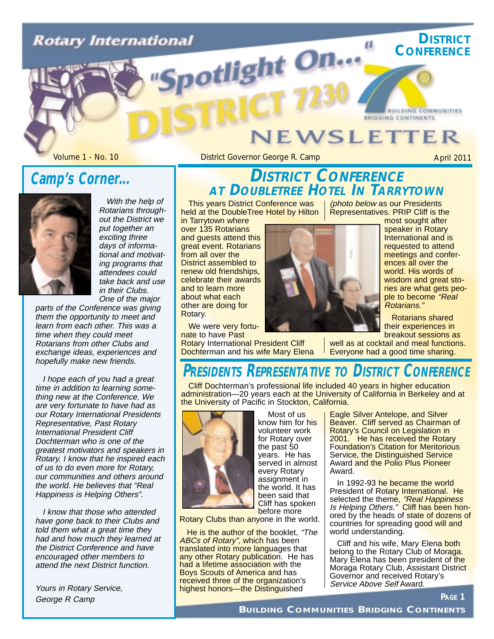# **Rotary International** potlight On...

## **VEWSLETTER**

П.

Volume 1 - No. 10 **District Governor George R. Camp** April 2011

**DISTRICT CONFERENCE**

### **Camp's Corner...**



With the help of Rotarians throughout the District we put together an exciting three days of informational and motivating programs that attendees could take back and use in their Clubs. One of the major

parts of the Conference was giving them the opportunity to meet and learn from each other. This was a time when they could meet Rotarians from other Clubs and exchange ideas, experiences and hopefully make new friends.

I hope each of you had a great time in addition to learning something new at the Conference. We are very fortunate to have had as our Rotary International Presidents Representative, Past Rotary International President Cliff Dochterman who is one of the greatest motivators and speakers in Rotary. I know that he inspired each of us to do even more for Rotary, our communities and others around the world. He believes that "Real Happiness is Helping Others".

I know that those who attended have gone back to their Clubs and told them what a great time they had and how much they learned at the District Conference and have encouraged other members to attend the next District function.

Yours in Rotary Service, George R Camp

### **DISTRICT CONFERENCE AT DOUBLETREE HOTEL IN TARRYTOWN**

This years District Conference was held at the DoubleTree Hotel by Hilton

in Tarrytown where over 135 Rotarians and guests attend this great event. Rotarians from all over the District assembled to renew old friendships, celebrate their awards and to learn more about what each other are doing for Rotary.

We were very fortunate to have Past Rotary International President Cliff Dochterman and his wife Mary Elena



(photo below as our Presidents Representatives. PRIP Cliff is the most sought after

**BRIDGING CONTINENTS** 

speaker in Rotary International and is requested to attend meetings and conferences all over the world. His words of wisdom and great stories are what gets people to become "Real Rotarians."

**BUILDING COMMUNITIES** 

Rotarians shared their experiences in breakout sessions as

well as at cocktail and meal functions. Everyone had a good time sharing.

### **PRESIDENTS REPRESENTATIVE TO DISTRICT CONFERENCE**

Cliff Dochterman's professional life included 40 years in higher education administration—20 years each at the University of California in Berkeley and at the University of Pacific in Stockton, California.



Most of us know him for his volunteer work for Rotary over the past 50 years. He has served in almost every Rotary assignment in the world. It has been said that Cliff has spoken before more

Rotary Clubs than anyone in the world.

He is the author of the booklet, "The ABCs of Rotary", which has been translated into more languages that any other Rotary publication. He has had a lifetime association with the Boys Scouts of America and has received three of the organization's highest honors—the Distinguished

Eagle Silver Antelope, and Silver Beaver. Cliff served as Chairman of Rotary's Council on Legislation in 2001. He has received the Rotary Foundation's Citation for Meritorious Service, the Distinguished Service Award and the Polio Plus Pioneer Award.

In 1992-93 he became the world President of Rotary International. He selected the theme, *"Real Happiness* Is Helping Others." Cliff has been honored by the heads of state of dozens of countries for spreading good will and world understanding.

Cliff and his wife, Mary Elena both belong to the Rotary Club of Moraga. Mary Elena has been president of the Moraga Rotary Club, Assistant District Governor and received Rotary's Service Above Self Award.

**PAGE 1**

**BUILDING COMMUNITIES BRIDGING CONTINENTS**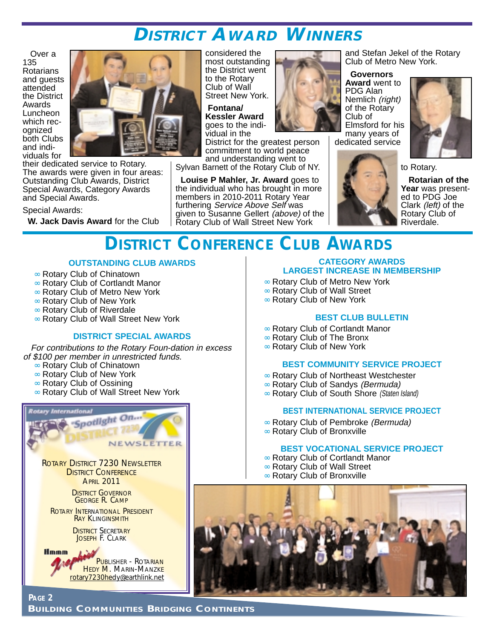### **DISTRICT AWARD WINNERS**

Over a 135 Rotarians and guests attended the District Awards Luncheon which recognized both Clubs and individuals for



their dedicated service to Rotary. The awards were given in four areas: Outstanding Club Awards, District Special Awards, Category Awards and Special Awards.

Special Awards:

**W. Jack Davis Award** for the Club

considered the most outstanding the District went to the Rotary Club of Wall Street New York.

**Fontana/ Kessler Award** goes to the individual in the

District for the greatest person commitment to world peace and understanding went to

Sylvan Barnett of the Rotary Club of NY.

**Louise P Mahler, Jr. Award** goes to the individual who has brought in more members in 2010-2011 Rotary Year furthering Service Above Self was given to Susanne Gellert (above) of the Rotary Club of Wall Street New York

and Stefan Jekel of the Rotary Club of Metro New York.

#### **Governors Award** went to

PDG Alan Nemlich (right) of the Rotary Club of Elmsford for his

many years of dedicated service





**Rotarian of the Year** was presented to PDG Joe Clark (left) of the Rotary Club of Riverdale.

### **DISTRICT CONFERENCE CLUB AWARDS**

#### **OUTSTANDING CLUB AWARDS**

- ∞ Rotary Club of Chinatown
- ∞ Rotary Club of Cortlandt Manor
- ∞ Rotary Club of Metro New York
- ∞ Rotary Club of New York
- ∞ Rotary Club of Riverdale
- ∞ Rotary Club of Wall Street New York

#### **DISTRICT SPECIAL AWARDS**

For contributions to the Rotary Foun-dation in excess of \$100 per member in unrestricted funds.

- ∞ Rotary Club of Chinatown
- ∞ Rotary Club of New York
- ∞ Rotary Club of Ossining
- ∞ Rotary Club of Wall Street New York



ROTARY INTERNATIONAL PRESIDENT RAY KLINGINSMITH

> **DISTRICT SECRETARY** JOSEPH F. CLARK

**PAGE 2**

**Hmmm** PUBLISHER - ROTARIAN HEDY M. MARIN-MANZKE rotary7230hedy@earthlink.net

#### **CATEGORY AWARDS LARGEST INCREASE IN MEMBERSHIP**

- ∞ Rotary Club of Metro New York
- ∞ Rotary Club of Wall Street
- ∞ Rotary Club of New York

#### **BEST CLUB BULLETIN**

- ∞ Rotary Club of Cortlandt Manor
- ∞ Rotary Club of The Bronx
- ∞ Rotary Club of New York

#### **BEST COMMUNITY SERVICE PROJECT**

- ∞ Rotary Club of Northeast Westchester
- ∞ Rotary Club of Sandys (Bermuda)
- ∞ Rotary Club of South Shore (Staten Island)

#### **BEST INTERNATIONAL SERVICE PROJECT**

- ∞ Rotary Club of Pembroke (Bermuda)
- ∞ Rotary Club of Bronxville

#### **BEST VOCATIONAL SERVICE PROJECT**

- ∞ Rotary Club of Cortlandt Manor
- ∞ Rotary Club of Wall Street
	- ∞ Rotary Club of Bronxville

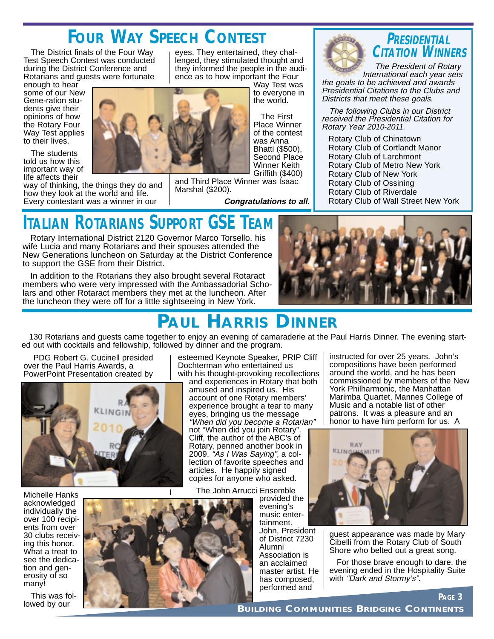## **FOUR WAY SPEECH CONTEST**

The District finals of the Four Way Test Speech Contest was conducted during the District Conference and Rotarians and guests were fortunate

enough to hear some of our New Gene-ration students give their opinions of how the Rotary Four Way Test applies to their lives.

The students told us how this important way of life affects their

way of thinking, the things they do and how they look at the world and life. Every contestant was a winner in our

eyes. They entertained, they challenged, they stimulated thought and they informed the people in the audience as to how important the Four

> Way Test was to everyone in the world.

The First Place Winner of the contest was Anna Bhatti (\$500), Second Place Winner Keith Griffith (\$400)

and Third Place Winner was Isaac Marshal (\$200).

**Congratulations to all.**



### **PRESIDENTIAL CITATION WINNERS**

The President of Rotary International each year sets the goals to be achieved and awards Presidential Citations to the Clubs and Districts that meet these goals.

The following Clubs in our District received the Presidential Citation for Rotary Year 2010-2011.

Rotary Club of Chinatown Rotary Club of Cortlandt Manor Rotary Club of Larchmont Rotary Club of Metro New York Rotary Club of New York Rotary Club of Ossining Rotary Club of Riverdale Rotary Club of Wall Street New York

# **ITALIAN ROTARIANS SUPPORT GSE TEAM**

Rotary International District 2120 Governor Marco Torsello, his wife Lucia and many Rotarians and their spouses attended the New Generations luncheon on Saturday at the District Conference to support the GSE from their District.

In addition to the Rotarians they also brought several Rotaract members who were very impressed with the Ambassadorial Scholars and other Rotaract members they met at the luncheon. After the luncheon they were off for a little sightseeing in New York.



### **PAUL HARRIS DINNER**

130 Rotarians and guests came together to enjoy an evening of camaraderie at the Paul Harris Dinner. The evening started out with cocktails and fellowship, followed by dinner and the program.

PDG Robert G. Cucinell presided over the Paul Harris Awards, a PowerPoint Presentation created by



Michelle Hanks acknowledged individually the over 100 recipients from over 30 clubs receiving this honor. What a treat to see the dedication and generosity of so many!

This was followed by our

esteemed Keynote Speaker, PRIP Cliff Dochterman who entertained us with his thought-provoking recollections

and experiences in Rotary that both amused and inspired us. His account of one Rotary members' experience brought a tear to many eyes, bringing us the message

"When did you become a Rotarian" not "When did you join Rotary". Cliff, the author of the ABC's of Rotary, penned another book in 2009, *"Às I Was Saying",* a collection of favorite speeches and articles. He happily signed copies for anyone who asked.

The John Arrucci Ensemble

provided the evening's music entertainment. John, President of District 7230

Alumni Association is an acclaimed master artist. He has composed, performed and

instructed for over 25 years. John's compositions have been performed around the world, and he has been commissioned by members of the New York Philharmonic, the Manhattan Marimba Quartet, Mannes College of Music and a notable list of other patrons. It was a pleasure and an honor to have him perform for us. A



guest appearance was made by Mary Cibelli from the Rotary Club of South Shore who belted out a great song.

For those brave enough to dare, the evening ended in the Hospitality Suite with "Dark and Stormy's".

**PAGE 3**